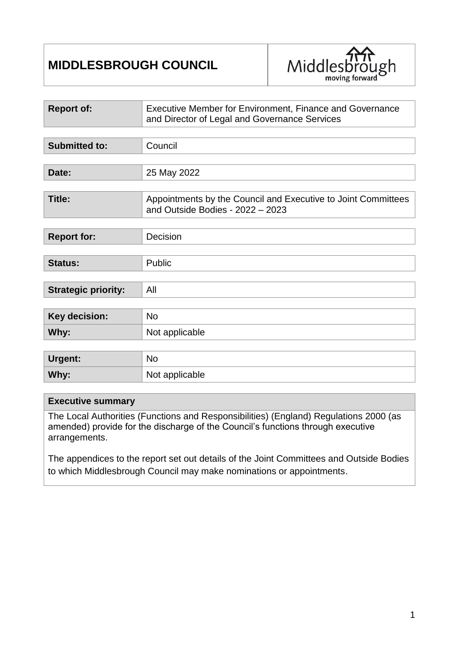# **MIDDLESBROUGH COUNCIL**



| <b>Report of:</b>          | Executive Member for Environment, Finance and Governance<br>and Director of Legal and Governance Services |  |
|----------------------------|-----------------------------------------------------------------------------------------------------------|--|
|                            |                                                                                                           |  |
| <b>Submitted to:</b>       | Council                                                                                                   |  |
|                            |                                                                                                           |  |
| Date:                      | 25 May 2022                                                                                               |  |
|                            |                                                                                                           |  |
| Title:                     | Appointments by the Council and Executive to Joint Committees<br>and Outside Bodies - 2022 - 2023         |  |
|                            |                                                                                                           |  |
| <b>Report for:</b>         | Decision                                                                                                  |  |
|                            |                                                                                                           |  |
| <b>Status:</b>             | Public                                                                                                    |  |
|                            |                                                                                                           |  |
| <b>Strategic priority:</b> | All                                                                                                       |  |
|                            |                                                                                                           |  |
| <b>Key decision:</b>       | <b>No</b>                                                                                                 |  |
| Why:                       | Not applicable                                                                                            |  |
|                            |                                                                                                           |  |
| Urgent:                    | <b>No</b>                                                                                                 |  |
| Why:                       | Not applicable                                                                                            |  |

#### **Executive summary**

The Local Authorities (Functions and Responsibilities) (England) Regulations 2000 (as amended) provide for the discharge of the Council's functions through executive arrangements.

The appendices to the report set out details of the Joint Committees and Outside Bodies to which Middlesbrough Council may make nominations or appointments.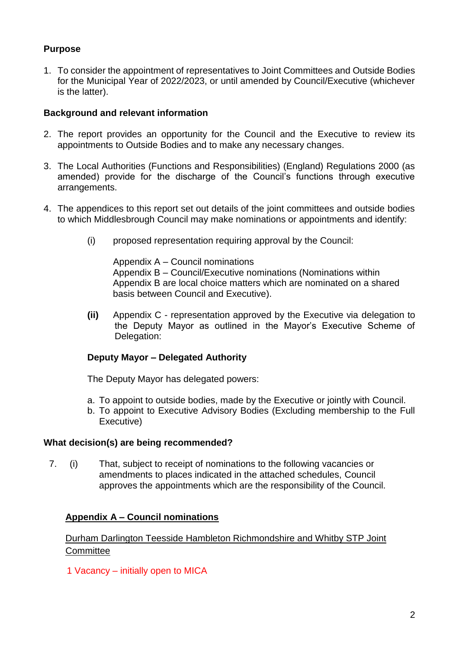# **Purpose**

1. To consider the appointment of representatives to Joint Committees and Outside Bodies for the Municipal Year of 2022/2023, or until amended by Council/Executive (whichever is the latter).

#### **Background and relevant information**

- 2. The report provides an opportunity for the Council and the Executive to review its appointments to Outside Bodies and to make any necessary changes.
- 3. The Local Authorities (Functions and Responsibilities) (England) Regulations 2000 (as amended) provide for the discharge of the Council's functions through executive arrangements.
- 4. The appendices to this report set out details of the joint committees and outside bodies to which Middlesbrough Council may make nominations or appointments and identify:
	- (i) proposed representation requiring approval by the Council:

Appendix A – Council nominations Appendix B – Council/Executive nominations (Nominations within Appendix B are local choice matters which are nominated on a shared basis between Council and Executive).

**(ii)** Appendix C - representation approved by the Executive via delegation to the Deputy Mayor as outlined in the Mayor's Executive Scheme of Delegation:

#### **Deputy Mayor – Delegated Authority**

The Deputy Mayor has delegated powers:

- a. To appoint to outside bodies, made by the Executive or jointly with Council.
- b. To appoint to Executive Advisory Bodies (Excluding membership to the Full Executive)

#### **What decision(s) are being recommended?**

7. (i) That, subject to receipt of nominations to the following vacancies or amendments to places indicated in the attached schedules, Council approves the appointments which are the responsibility of the Council.

# **Appendix A – Council nominations**

# Durham Darlington Teesside Hambleton Richmondshire and Whitby STP Joint **Committee**

1 Vacancy – initially open to MICA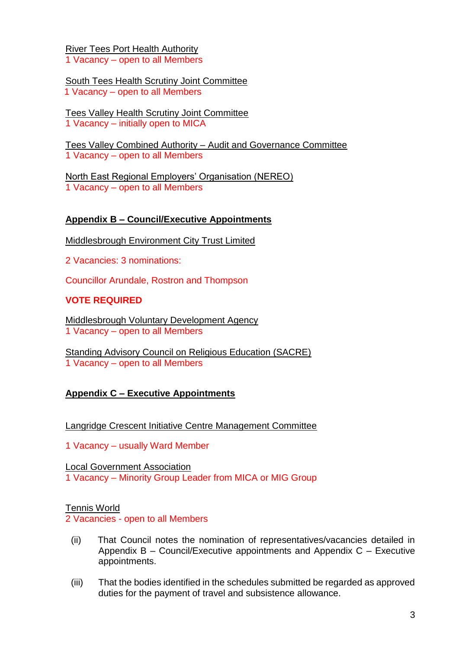River Tees Port Health Authority 1 Vacancy – open to all Members

South Tees Health Scrutiny Joint Committee 1 Vacancy – open to all Members

Tees Valley Health Scrutiny Joint Committee 1 Vacancy – initially open to MICA

Tees Valley Combined Authority – Audit and Governance Committee 1 Vacancy – open to all Members

North East Regional Employers' Organisation (NEREO) 1 Vacancy – open to all Members

## **Appendix B – Council/Executive Appointments**

Middlesbrough Environment City Trust Limited

2 Vacancies: 3 nominations:

Councillor Arundale, Rostron and Thompson

## **VOTE REQUIRED**

Middlesbrough Voluntary Development Agency 1 Vacancy – open to all Members

Standing Advisory Council on Religious Education (SACRE) 1 Vacancy – open to all Members

#### **Appendix C – Executive Appointments**

Langridge Crescent Initiative Centre Management Committee

1 Vacancy – usually Ward Member

Local Government Association 1 Vacancy – Minority Group Leader from MICA or MIG Group

#### Tennis World

2 Vacancies - open to all Members

- (ii) That Council notes the nomination of representatives/vacancies detailed in Appendix B – Council/Executive appointments and Appendix C – Executive appointments.
- (iii) That the bodies identified in the schedules submitted be regarded as approved duties for the payment of travel and subsistence allowance.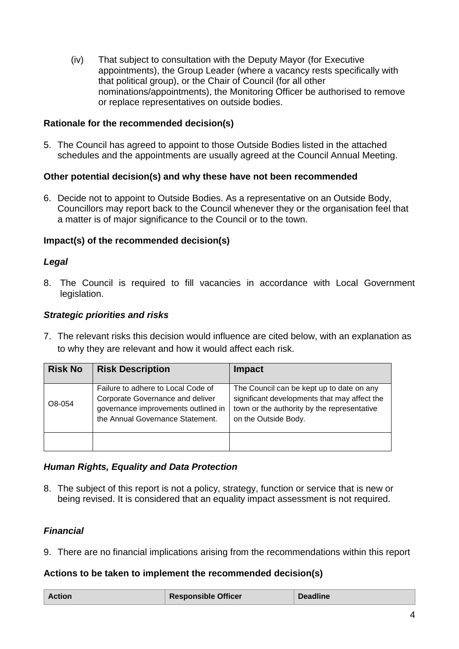(iv) That subject to consultation with the Deputy Mayor (for Executive appointments), the Group Leader (where a vacancy rests specifically with that political group), or the Chair of Council (for all other nominations/appointments), the Monitoring Officer be authorised to remove or replace representatives on outside bodies.

#### **Rationale for the recommended decision(s)**

5. The Council has agreed to appoint to those Outside Bodies listed in the attached schedules and the appointments are usually agreed at the Council Annual Meeting.

#### **Other potential decision(s) and why these have not been recommended**

6. Decide not to appoint to Outside Bodies. As a representative on an Outside Body, Councillors may report back to the Council whenever they or the organisation feel that a matter is of major significance to the Council or to the town.

#### **Impact(s) of the recommended decision(s)**

#### *Legal*

8. The Council is required to fill vacancies in accordance with Local Government legislation.

#### *Strategic priorities and risks*

7. The relevant risks this decision would influence are cited below, with an explanation as to why they are relevant and how it would affect each risk.

| <b>Risk No</b> | <b>Risk Description</b>                                                                                                                           | <b>Impact</b>                                                                                                                                                    |
|----------------|---------------------------------------------------------------------------------------------------------------------------------------------------|------------------------------------------------------------------------------------------------------------------------------------------------------------------|
| O8-054         | Failure to adhere to Local Code of<br>Corporate Governance and deliver<br>governance improvements outlined in<br>the Annual Governance Statement. | The Council can be kept up to date on any<br>significant developments that may affect the<br>town or the authority by the representative<br>on the Outside Body. |
|                |                                                                                                                                                   |                                                                                                                                                                  |

#### *Human Rights, Equality and Data Protection*

8. The subject of this report is not a policy, strategy, function or service that is new or being revised. It is considered that an equality impact assessment is not required.

#### *Financial*

9. There are no financial implications arising from the recommendations within this report

#### **Actions to be taken to implement the recommended decision(s)**

| <b>Responsible Officer</b><br><b>Deadline</b><br><b>Action</b> |  |
|----------------------------------------------------------------|--|
|----------------------------------------------------------------|--|